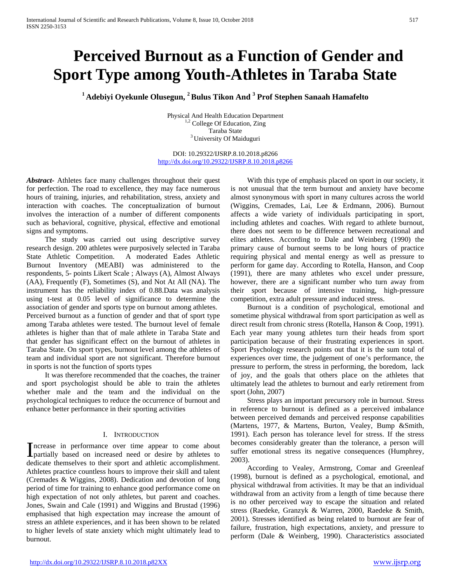# **Perceived Burnout as a Function of Gender and Sport Type among Youth-Athletes in Taraba State**

**1 Adebiyi Oyekunle Olusegun, 2 Bulus Tikon And 3 Prof Stephen Sanaah Hamafelto** 

Physical And Health Education Department <sup>1,2</sup> College Of Education, Zing Taraba State 3 University Of Maiduguri

DOI: 10.29322/IJSRP.8.10.2018.p8266 <http://dx.doi.org/10.29322/IJSRP.8.10.2018.p8266>

*Abstract***-** Athletes face many challenges throughout their quest for perfection. The road to excellence, they may face numerous hours of training, injuries, and rehabilitation, stress, anxiety and interaction with coaches. The conceptualization of burnout involves the interaction of a number of different components such as behavioral, cognitive, physical, effective and emotional signs and symptoms.

 The study was carried out using descriptive survey research design. 200 athletes were purposively selected in Taraba State Athletic Competition. A moderated Eades Athletic Burnout Inventory (MEABI) was administered to the respondents, 5- points Likert Scale ; Always (A), Almost Always (AA), Frequently (F), Sometimes (S), and Not At All (NA). The instrument has the reliability index of 0.88.Data was analysis using t-test at 0.05 level of significance to determine the association of gender and sports type on burnout among athletes. Perceived burnout as a function of gender and that of sport type among Taraba athletes were tested. The burnout level of female athletes is higher than that of male athlete in Taraba State and that gender has significant effect on the burnout of athletes in Taraba State. On sport types, burnout level among the athletes of team and individual sport are not significant. Therefore burnout in sports is not the function of sports types

 It was therefore recommended that the coaches, the trainer and sport psychologist should be able to train the athletes whether male and the team and the individual on the psychological techniques to reduce the occurrence of burnout and enhance better performance in their sporting activities

## I. INTRODUCTION

ncrease in performance over time appear to come about Increase in performance over time appear to come about partially based on increased need or desire by athletes to dedicate themselves to their sport and athletic accomplishment. Athletes practice countless hours to improve their skill and talent (Cremades & Wiggins, 2008). Dedication and devotion of long period of time for training to enhance good performance come on high expectation of not only athletes, but parent and coaches. Jones, Swain and Cale (1991) and Wiggins and Brustad (1996) emphasised that high expectation may increase the amount of stress an athlete experiences, and it has been shown to be related to higher levels of state anxiety which might ultimately lead to burnout.

 With this type of emphasis placed on sport in our society, it is not unusual that the term burnout and anxiety have become almost synonymous with sport in many cultures across the world (Wiggins, Cremades, Lai, Lee & Erdmann, 2006). Burnout affects a wide variety of individuals participating in sport, including athletes and coaches. With regard to athlete burnout, there does not seem to be difference between recreational and elites athletes. According to Dale and Weinberg (1990) the primary cause of burnout seems to be long hours of practice requiring physical and mental energy as well as pressure to perform for game day. According to Rotella, Hanson, and Coop (1991), there are many athletes who excel under pressure, however, there are a significant number who turn away from their sport because of intensive training, high-pressure competition, extra adult pressure and induced stress.

 Burnout is a condition of psychological, emotional and sometime physical withdrawal from sport participation as well as direct result from chronic stress (Rotella, Hanson & Coop, 1991). Each year many young athletes turn their heads from sport participation because of their frustrating experiences in sport. Sport Psychology research points out that it is the sum total of experiences over time, the judgement of one's performance, the pressure to perform, the stress in performing, the boredom, lack of joy, and the goals that others place on the athletes that ultimately lead the athletes to burnout and early retirement from sport (John, 2007)

 Stress plays an important precursory role in burnout. Stress in reference to burnout is defined as a perceived imbalance between perceived demands and perceived response capabilities (Martens, 1977, & Martens, Burton, Vealey, Bump &Smith, 1991). Each person has tolerance level for stress. If the stress becomes considerably greater than the tolerance, a person will suffer emotional stress its negative consequences (Humphrey, 2003).

 According to Vealey, Armstrong, Comar and Greenleaf (1998), burnout is defined as a psychological, emotional, and physical withdrawal from activities. It may be that an individual withdrawal from an activity from a length of time because there is no other perceived way to escape the situation and related stress (Raedeke, Granzyk & Warren, 2000, Raedeke & Smith, 2001). Stresses identified as being related to burnout are fear of failure, frustration, high expectations, anxiety, and pressure to perform (Dale & Weinberg, 1990). Characteristics associated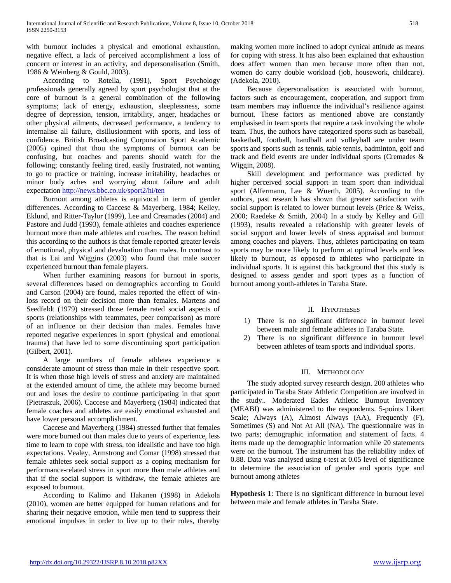with burnout includes a physical and emotional exhaustion, negative effect, a lack of perceived accomplishment a loss of concern or interest in an activity, and depersonalisation (Smith, 1986 & Weinberg & Gould, 2003).

 According to Rotella, (1991), Sport Psychology professionals generally agreed by sport psychologist that at the core of burnout is a general combination of the following symptoms; lack of energy, exhaustion, sleeplessness, some degree of depression, tension, irritability, anger, headaches or other physical ailments, decreased performance, a tendency to internalise all failure, disillusionment with sports, and loss of confidence. British Broadcasting Corporation Sport Academic (2005) opined that thou the symptoms of burnout can be confusing, but coaches and parents should watch for the following; constantly feeling tired, easily frustrated, not wanting to go to practice or training, increase irritability, headaches or minor body aches and worrying about failure and adult expectatio[n http://news.bbc.co.uk/sport2/hi/ten](http://news.bbc.co.uk/sport2/hi/ten)

 Burnout among athletes is equivocal in term of gender differences. According to Caccese & Mayerberg, 1984; Kelley, Eklund, and Ritter-Taylor (1999), Lee and Creamades (2004) and Pastore and Judd (1993), female athletes and coaches experience burnout more than male athletes and coaches. The reason behind this according to the authors is that female reported greater levels of emotional, physical and devaluation than males. In contrast to that is Lai and Wiggins (2003) who found that male soccer experienced burnout than female players.

 When further examining reasons for burnout in sports, several differences based on demographics according to Gould and Carson (2004) are found, males reported the effect of winloss record on their decision more than females. Martens and Seedfeldt (1979) stressed those female rated social aspects of sports (relationships with teammates, peer comparison) as more of an influence on their decision than males. Females have reported negative experiences in sport (physical and emotional trauma) that have led to some discontinuing sport participation (Gilbert, 2001).

 A large numbers of female athletes experience a considerate amount of stress than male in their respective sport. It is when those high levels of stress and anxiety are maintained at the extended amount of time, the athlete may become burned out and loses the desire to continue participating in that sport (Pietraszuk, 2006). Caccese and Mayerberg (1984) indicated that female coaches and athletes are easily emotional exhausted and have lower personal accomplishment.

 Caccese and Mayerberg (1984) stressed further that females were more burned out than males due to years of experience, less time to learn to cope with stress, too idealistic and have too high expectations. Vealey, Armstrong and Comar (1998) stressed that female athletes seek social support as a coping mechanism for performance-related stress in sport more than male athletes and that if the social support is withdraw, the female athletes are exposed to burnout.

 According to Kalimo and Hakanen (1998) in Adekola (2010), women are better equipped for human relations and for sharing their negative emotion, while men tend to suppress their emotional impulses in order to live up to their roles, thereby

making women more inclined to adopt cynical attitude as means for coping with stress. It has also been explained that exhaustion does affect women than men because more often than not, women do carry double workload (job, housework, childcare). (Adekola, 2010).

 Because depersonalisation is associated with burnout, factors such as encouragement, cooperation, and support from team members may influence the individual's resilience against burnout. These factors as mentioned above are constantly emphasised in team sports that require a task involving the whole team. Thus, the authors have categorized sports such as baseball, basketball, football, handball and volleyball are under team sports and sports such as tennis, table tennis, badminton, golf and track and field events are under individual sports (Cremades & Wiggin, 2008).

 Skill development and performance was predicted by higher perceived social support in team sport than individual sport (Alfermann, Lee & Wuerth, 2005). According to the authors, past research has shown that greater satisfaction with social support is related to lower burnout levels (Price & Weiss, 2000; Raedeke & Smith, 2004) In a study by Kelley and Gill (1993), results revealed a relationship with greater levels of social support and lower levels of stress appraisal and burnout among coaches and players. Thus, athletes participating on team sports may be more likely to perform at optimal levels and less likely to burnout, as opposed to athletes who participate in individual sports. It is against this background that this study is designed to assess gender and sport types as a function of burnout among youth-athletes in Taraba State.

# II. HYPOTHESES

- 1) There is no significant difference in burnout level between male and female athletes in Taraba State.
- 2) There is no significant difference in burnout level between athletes of team sports and individual sports.

## III. METHODOLOGY

 The study adopted survey research design. 200 athletes who participated in Taraba State Athletic Competition are involved in the study.. Moderated Eades Athletic Burnout Inventory (MEABI) was administered to the respondents. 5-points Likert Scale; Always (A), Almost Always (AA), Frequently (F), Sometimes (S) and Not At All (NA). The questionnaire was in two parts; demographic information and statement of facts. 4 items made up the demographic information while 20 statements were on the burnout. The instrument has the reliability index of 0.88. Data was analysed using t-test at 0.05 level of significance to determine the association of gender and sports type and burnout among athletes

**Hypothesis 1**: There is no significant difference in burnout level between male and female athletes in Taraba State.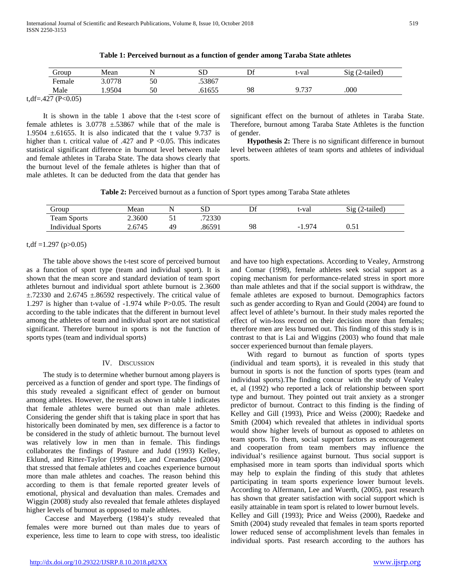| droup                      | Mean   | . . | SD     | Df | t-val           | $Sig(2-tailed)$ |
|----------------------------|--------|-----|--------|----|-----------------|-----------------|
| Female                     | 3.0778 | 50  | .53867 |    |                 |                 |
| Male                       | .9504  | 50  | .61655 | 98 | 9.737<br>7. I J | .000            |
| (P<0.05)<br>$t, df = .427$ |        |     |        |    |                 |                 |

**Table 1: Perceived burnout as a function of gender among Taraba State athletes**

 It is shown in the table 1 above that the t-test score of female athletes is  $3.0778 \pm 53867$  while that of the male is 1.9504  $\pm$ .61655. It is also indicated that the t value 9.737 is higher than t. critical value of .427 and P <0.05. This indicates statistical significant difference in burnout level between male and female athletes in Taraba State. The data shows clearly that the burnout level of the female athletes is higher than that of male athletes. It can be deducted from the data that gender has significant effect on the burnout of athletes in Taraba State. Therefore, burnout among Taraba State Athletes is the function of gender.

 **Hypothesis 2:** There is no significant difference in burnout level between athletes of team sports and athletes of individual sports.

**Table 2:** Perceived burnout as a function of Sport types among Taraba State athletes

| Group                    | Mean                         |    | ىلە    | Df | t-vai | $\sim$<br>2-tailed)<br>519 |
|--------------------------|------------------------------|----|--------|----|-------|----------------------------|
| <b>Team Sports</b>       | 2.3600                       | ັ  | .72330 |    |       |                            |
| <b>Individual Sports</b> | .6745<br>$\mathcal{L}$ . U l | 40 | .86591 | 98 | റ7    | <u>v.vi</u>                |

t,df = 1.297 (p $>0.05$ )

L.

 The table above shows the t-test score of perceived burnout as a function of sport type (team and individual sport). It is shown that the mean score and standard deviation of team sport athletes burnout and individual sport athlete burnout is 2.3600  $\pm$ .72330 and 2.6745  $\pm$ .86592 respectively. The critical value of 1.297 is higher than t-value of -1.974 while P>0.05. The result according to the table indicates that the different in burnout level among the athletes of team and individual sport are not statistical significant. Therefore burnout in sports is not the function of sports types (team and individual sports)

# IV. DISCUSSION

 The study is to determine whether burnout among players is perceived as a function of gender and sport type. The findings of this study revealed a significant effect of gender on burnout among athletes. However, the result as shown in table 1 indicates that female athletes were burned out than male athletes. Considering the gender shift that is taking place in sport that has historically been dominated by men, sex difference is a factor to be considered in the study of athletic burnout. The burnout level was relatively low in men than in female. This findings collaborates the findings of Pasture and Judd (1993) Kelley, Eklund, and Ritter-Taylor (1999), Lee and Creamades (2004) that stressed that female athletes and coaches experience burnout more than male athletes and coaches. The reason behind this according to them is that female reported greater levels of emotional, physical and devaluation than males. Cremades and Wiggin (2008) study also revealed that female athletes displayed higher levels of burnout as opposed to male athletes.

 Caccese and Mayerberg (1984)'s study revealed that females were more burned out than males due to years of experience, less time to learn to cope with stress, too idealistic

and have too high expectations. According to Vealey, Armstrong and Comar (1998), female athletes seek social support as a coping mechanism for performance-related stress in sport more than male athletes and that if the social support is withdraw, the female athletes are exposed to burnout. Demographics factors such as gender according to Ryan and Gould (2004) are found to affect level of athlete's burnout. In their study males reported the effect of win-loss record on their decision more than females; therefore men are less burned out. This finding of this study is in contrast to that is Lai and Wiggins (2003) who found that male soccer experienced burnout than female players.

 With regard to burnout as function of sports types (individual and team sports), it is revealed in this study that burnout in sports is not the function of sports types (team and individual sports).The finding concur with the study of Vealey et, al (1992) who reported a lack of relationship between sport type and burnout. They pointed out trait anxiety as a stronger predictor of burnout. Contract to this finding is the finding of Kelley and Gill (1993), Price and Weiss (2000); Raedeke and Smith (2004) which revealed that athletes in individual sports would show higher levels of burnout as opposed to athletes on team sports. To them, social support factors as encouragement and cooperation from team members may influence the individual's resilience against burnout. Thus social support is emphasised more in team sports than individual sports which may help to explain the finding of this study that athletes participating in team sports experience lower burnout levels. According to Alfermann, Lee and Wuerth, (2005), past research has shown that greater satisfaction with social support which is easily attainable in team sport is related to lower burnout levels.

Kelley and Gill (1993); Price and Weiss (2000), Raedeke and Smith (2004) study revealed that females in team sports reported lower reduced sense of accomplishment levels than females in individual sports. Past research according to the authors has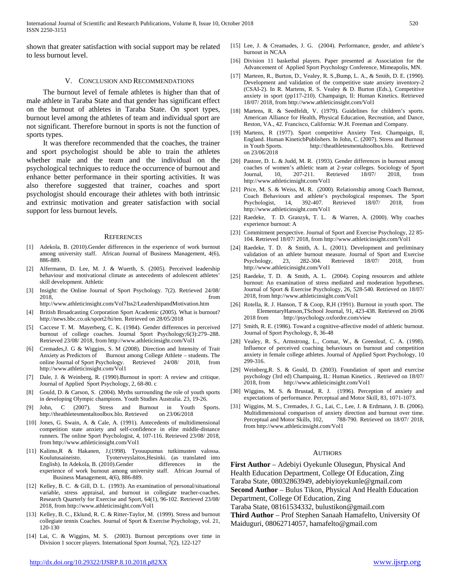shown that greater satisfaction with social support may be related to less burnout level.

V. CONCLUSION AND RECOMMENDATIONS

 The burnout level of female athletes is higher than that of male athlete in Taraba State and that gender has significant effect on the burnout of athletes in Taraba State. On sport types, burnout level among the athletes of team and individual sport are not significant. Therefore burnout in sports is not the function of sports types.

 It was therefore recommended that the coaches, the trainer and sport psychologist should be able to train the athletes whether male and the team and the individual on the psychological techniques to reduce the occurrence of burnout and enhance better performance in their sporting activities. It was also therefore suggested that trainer, coaches and sport psychologist should encourage their athletes with both intrinsic and extrinsic motivation and greater satisfaction with social support for less burnout levels.

#### **REFERENCES**

- [1] Adekola, B. (2010).Gender differences in the experience of work burnout among university staff. African Journal of Business Management, 4(6), 886-889.
- [2] Alfermann, D. Lee, M. J. & Wuerth, S. (2005). Perceived leadership behaviour and motivational climate as antecedents of adolescent athletes' skill development. Athletic
- [3] Insight: the Online Journal of Sport Psychology. 7(2). Retrieved 24/08/ 2018, from
- http://www.athleticinsight.com/Vol7Iss2/LeadershipandMotivation.htm
- [4] British Broadcasting Corporation Sport Academic (2005). What is burnout? http://news.bbc.co.uk/sport2/hi/ten. Retrieved on 28/05/2018
- [5] Caccese T. M. Mayerberg, C. K. (1984). Gender differences in perceived burnout of college coaches. Journal Sport Psychology;6(3):279–288. Retrieved 23/08/ 2018, from http://www.athleticinsight.com/Vol1
- [6] Cremades,J. G & Wiggins, S. M (2008). Direction and Intensity of Trait Anxiety as Predictors of Burnout among College Athlete – students. The online Journal of Sport Psychology. Retrieved 24/08/ 2018, from http://www.athleticinsight.com/Vol1
- [7] Dale, J. & Weinberg, R. (1990).Burnout in sport: A review and critique. Journal of Applied Sport Psychology, 2, 68-80. c
- Gould, D. & Carson, S. (2004). Myths surrounding the role of youth sports in developing Olympic champions. Youth Studies Australia. 23, 19-26.
- [9] John, C (2007). Stress and Burnout in Youth Sports. http://theathletesmentaltoolbox.blo. Retrieved on 23/06/2018
- [10] Jones, G. Swain, A. & Cale, A. (1991). Antecedents of multidimensional competition state anxiety and self-confidence in elite middle-distance runners. The online Sport Psychologist, 4, 107-116. Retrieved 23/08/ 2018, from http://www.athleticinsight.com/Vol1
- [11] Kalimo,R & Hakanen, J.(1998). Tyouupumus tutkimusten valossa. Koulutusaineisto. Tyoterveyslaitos,Hesinki. (as translated into English). In Adekola, B. (2010).Gender differences in the experience of work burnout among university staff. African Journal of Business Management, 4(6), 886-889.
- [12] Kelley, B. C. & Gill, D. L. (1993). An examination of personal/situational variable, stress appraisal, and burnout in collegiate teacher-coaches. Research Quarterly for Exercise and Sport, 64(1), 96-102. Retrieved 23/08/ 2018, from http://www.athleticinsight.com/Vol1
- [13] Kelley, B. C., Eklund, R. C. & Ritter-Taylor, M. (1999). Stress and burnout collegiate tennis Coaches. Journal of Sport & Exercise Psychology, vol. 21, 120-130
- [14] Lai, C. & Wiggins, M. S. (2003). Burnout perceptions over time in Division 1 soccer players. International Sport Journal, 7(2), 122-127
- [15] Lee, J. & Creamades, J. G. (2004). Performance, gender, and athlete's burnout in NCAA
- [16] Division 11 basketbal players. Paper presented at Association for the Advancement of Applied Sport Psychology Conference, Mimeapolis, MN.
- [17] Marteen, R., Burton, D., Vealey, R. S., Bump, L. A., & Smith, D. E. (1990). Development and validation of the competitive state anxiety inventory-2 (CSAI-2). In R. Martens, R. S. Vealey & D. Burton (Eds.), Competitive anxiety in sport (pp117-210). Champaign, Il: Human Kinetics. Retrieved 18/07/ 2018, from http://www.athleticinsight.com/Vol1
- [18] Martens, R. & Seedfeldt, V. (1979). Guidelines for children's sports. American Alliance for Health, Physical Education, Recreation, and Dance, Reston, VA., 42. Francisco, California: W.H. Freeman and Company.
- [19] Martens, R (1977). Sport competitive Anxiety Test. Champaign, Il, England. Human KineticbPublishers. In John, C. (2007). Stress and Burnout in Youth Sports. http://theathletesmentaltoolbox.blo. Retrieved on 23/06/2018
- [20] Pastore, D. L. & Judd, M. R. (1993). Gender differences in burnout among coaches of women's athletic team at 2-year colleges. Sociology of Sport Journal, 10, 207-211. Retrieved 18/07/ 2018, from http://www.athleticinsight.com/Vol1
- [21] Price, M. S. & Weiss, M. R. (2000). Relationship among Coach Burnout, Coach Behaviours and athlete's psychological responses. The Sport Psychologist, 14, 392-407. Retrieved 18/07/ 2018, from http://www.athleticinsight.com/Vol1
- [22] Raedeke, T. D. Granzyk, T. L. & Warren, A. (2000). Why coaches experience burnout: A
- [23] Commitment perspective. Journal of Sport and Exercise Psychology, 22 85-104. Retrieved 18/07/ 2018, from http://www.athleticinsight.com/Vol1
- [24] Raedeke, T. D. & Smith, A. L. (2001). Development and preliminary validation of an athlete burnout measure. Journal of Sport and Exercise Psychology, 23, 282-304. Retrieved 18/07/ 2018, from http://www.athleticinsight.com/Vol1
- [25] Raedeke, T. D. & Smith, A. L. (2004). Coping resources and athlete burnout: An examination of stress mediated and moderation hypotheses. Journal of Sport & Exercise Psychology, 26, 528-540. Retrieved on 18/07/ 2018, from http://www.athleticinsight.com/Vol1
- [26] Rotella, R. J. Hanson, T & Coop, R,H (1991). Burnout in youth sport. The ElementaryHanson,TSchool Journal, 91, 423-438. Retrieved on 20/06 2018 from http://psychology.oxfordre.com/view
- [27] Smith, R. E. (1986). Toward a cognitive-affective model of athletic burnout. Journal of Sport Psychology, 8, 36-48
- [28] Vealey, R. S., Armstrong, L., Comar, W., & Greenleaf, C. A. (1998). Influence of perceived coaching behaviours on burnout and competition anxiety in female college athletes. Journal of Applied Sport Psychology, 10 299-316.
- [29] Weinberg, R. S. & Gould, D. (2003). Foundation of sport and exercise psychology (3rd ed) Champaing, IL: Human Kinetics. . Retrieved on 18/07/ 2018, from http://www.athleticinsight.com/Vol1
- [30] Wiggins, M. S. & Brustad, R. J. (1996). Perception of anxiety and expectations of performance. Perceptual and Motor Skill, 83, 1071-1073.
- [31] Wiggins, M. S., Cremades, J. G., Lai, C., Lee, J. & Erdmann, J. B. (2006). Multidimensional comparison of anxiety direction and burnout over time.<br>Perceptual and Motor Skills, 102, 788-790. Retrieved on 18/07/2018, 788-790. Retrieved on 18/07/ 2018, from http://www.athleticinsight.com/Vol1

#### AUTHORS

First Author - Adebiyi Oyekunle Olusegun, Physical And Health Education Department, College Of Education, Zing Taraba State, 08032863949, adebiyioyekunle@gmail.com **Second Author** – Bulus Tikon, Physical And Health Education

Department, College Of Education, Zing

Taraba State, 08161534332, bulustikon@gmail.com

**Third Author** – Prof Stephen Sanaah Hamafelto, University Of Maiduguri, 08062714057, hamafelto@gmail.com